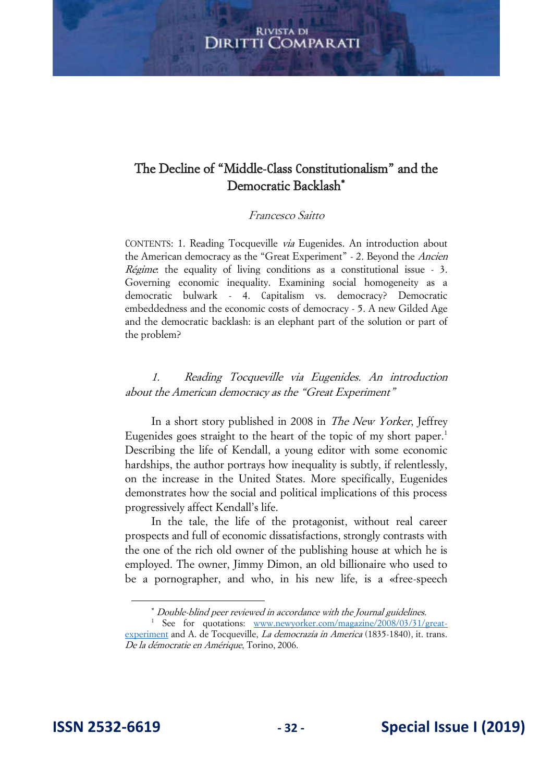# The Decline of "Middle-Class Constitutionalism" and the Democratic Backlash\*

#### Francesco Saitto

CONTENTS: 1. Reading Tocqueville via Eugenides. An introduction about the American democracy as the "Great Experiment" - 2. Beyond the *Ancien* Régime: the equality of living conditions as a constitutional issue - 3. Governing economic inequality. Examining social homogeneity as a democratic bulwark - 4. Capitalism vs. democracy? Democratic embeddedness and the economic costs of democracy - 5. A new Gilded Age and the democratic backlash: is an elephant part of the solution or part of the problem?

1. Reading Tocqueville via Eugenides. An introduction about the American democracy as the "Great Experiment"

In a short story published in 2008 in *The New Yorker*, Jeffrey Eugenides goes straight to the heart of the topic of my short paper.<sup>1</sup> Describing the life of Kendall, a young editor with some economic hardships, the author portrays how inequality is subtly, if relentlessly, on the increase in the United States. More specifically, Eugenides demonstrates how the social and political implications of this process progressively affect Kendall's life.

In the tale, the life of the protagonist, without real career prospects and full of economic dissatisfactions, strongly contrasts with the one of the rich old owner of the publishing house at which he is employed. The owner, Jimmy Dimon, an old billionaire who used to be a pornographer, and who, in his new life, is a «free-speech

Double-blind peer reviewed in accordance with the Journal guidelines.

<sup>&</sup>lt;sup>1</sup> See for quotations: [www.newyorker.com/magazine/2008/03/31/great](http://www.newyorker.com/magazine/2008/03/31/great-experiment)[experiment](http://www.newyorker.com/magazine/2008/03/31/great-experiment) and A. de Tocqueville, La democrazia in America (1835-1840), it. trans. De la démocratie en Amérique, Torino, 2006.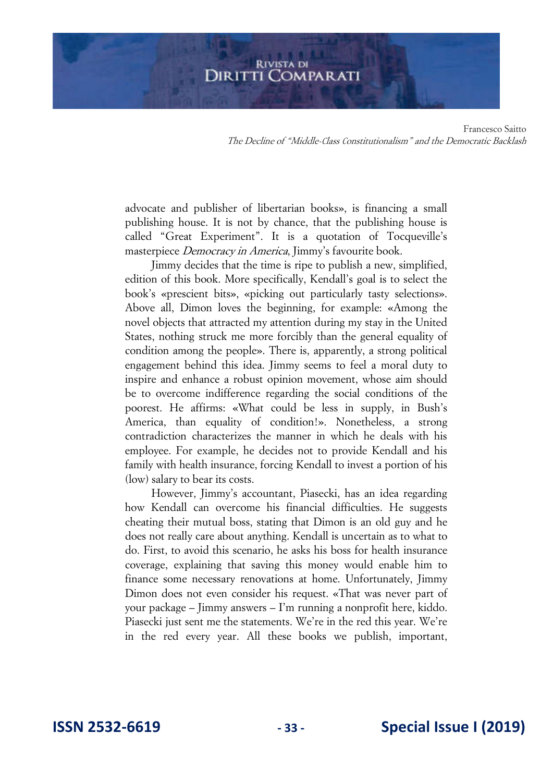Francesco Saitto The Decline of "Middle-Class Constitutionalism" and the Democratic Backlash

advocate and publisher of libertarian books», is financing a small publishing house. It is not by chance, that the publishing house is called "Great Experiment". It is a quotation of Tocqueville's masterpiece Democracy in America, Jimmy's favourite book.

Jimmy decides that the time is ripe to publish a new, simplified, edition of this book. More specifically, Kendall's goal is to select the book's «prescient bits», «picking out particularly tasty selections». Above all, Dimon loves the beginning, for example: «Among the novel objects that attracted my attention during my stay in the United States, nothing struck me more forcibly than the general equality of condition among the people». There is, apparently, a strong political engagement behind this idea. Jimmy seems to feel a moral duty to inspire and enhance a robust opinion movement, whose aim should be to overcome indifference regarding the social conditions of the poorest. He affirms: «What could be less in supply, in Bush's America, than equality of condition!». Nonetheless, a strong contradiction characterizes the manner in which he deals with his employee. For example, he decides not to provide Kendall and his family with health insurance, forcing Kendall to invest a portion of his (low) salary to bear its costs.

However, Jimmy's accountant, Piasecki, has an idea regarding how Kendall can overcome his financial difficulties. He suggests cheating their mutual boss, stating that Dimon is an old guy and he does not really care about anything. Kendall is uncertain as to what to do. First, to avoid this scenario, he asks his boss for health insurance coverage, explaining that saving this money would enable him to finance some necessary renovations at home. Unfortunately, Jimmy Dimon does not even consider his request. «That was never part of your package – Jimmy answers – I'm running a nonprofit here, kiddo. Piasecki just sent me the statements. We're in the red this year. We're in the red every year. All these books we publish, important,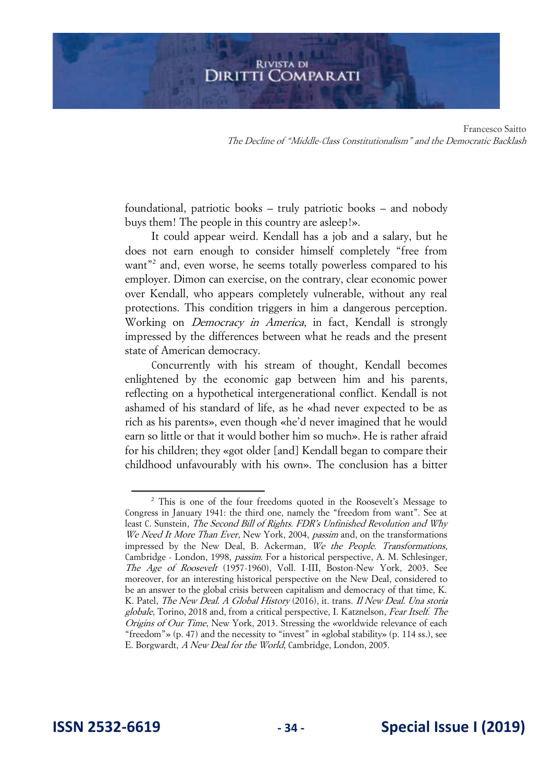Francesco Saitto The Decline of "Middle-Class Constitutionalism" and the Democratic Backlash

foundational, patriotic books – truly patriotic books – and nobody buys them! The people in this country are asleep!».

It could appear weird. Kendall has a job and a salary, but he does not earn enough to consider himself completely "free from want"<sup>2</sup> and, even worse, he seems totally powerless compared to his employer. Dimon can exercise, on the contrary, clear economic power over Kendall, who appears completely vulnerable, without any real protections. This condition triggers in him a dangerous perception. Working on *Democracy in America*, in fact, Kendall is strongly impressed by the differences between what he reads and the present state of American democracy.

Concurrently with his stream of thought, Kendall becomes enlightened by the economic gap between him and his parents, reflecting on a hypothetical intergenerational conflict. Kendall is not ashamed of his standard of life, as he «had never expected to be as rich as his parents», even though «he'd never imagined that he would earn so little or that it would bother him so much». He is rather afraid for his children; they «got older [and] Kendall began to compare their childhood unfavourably with his own». The conclusion has a bitter

<sup>&</sup>lt;sup>2</sup> This is one of the four freedoms quoted in the Roosevelt's Message to Congress in January 1941: the third one, namely the "freedom from want". See at least C. Sunstein, *The Second Bill of Rights. FDR's Unfinished Revolution and Why* We Need It More Than Ever, New York, 2004, passim and, on the transformations impressed by the New Deal, B. Ackerman, We the People. Transformations, Cambridge - London, 1998, passim. For a historical perspective, A. M. Schlesinger, The Age of Roosevelt (1957-1960), Voll. I-III, Boston-New York, 2003. See moreover, for an interesting historical perspective on the New Deal, considered to be an answer to the global crisis between capitalism and democracy of that time, K. K. Patel, The New Deal. A Global History (2016), it. trans. Il New Deal. Una storia globale, Torino, 2018 and, from a critical perspective, I. Katznelson, Fear Itself. The Origins of Our Time, New York, 2013. Stressing the «worldwide relevance of each "freedom"» (p. 47) and the necessity to "invest" in «global stability» (p. 114 ss.), see E. Borgwardt, A New Deal for the World, Cambridge, London, 2005.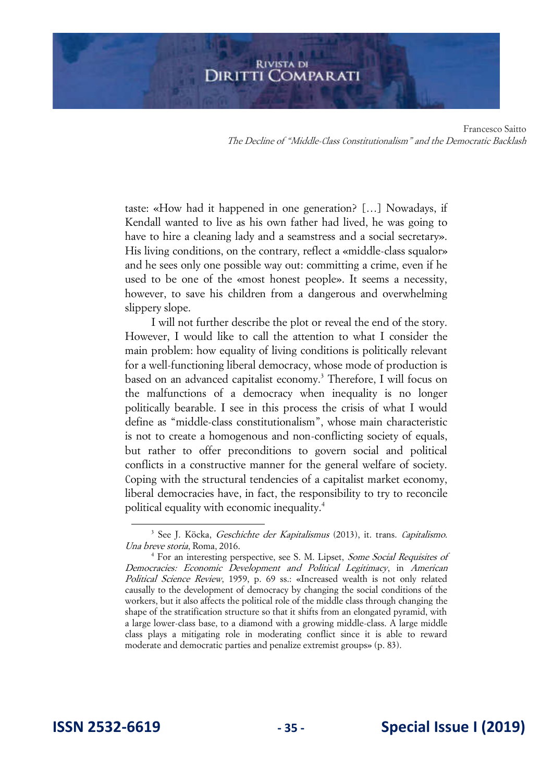taste: «How had it happened in one generation? […] Nowadays, if Kendall wanted to live as his own father had lived, he was going to have to hire a cleaning lady and a seamstress and a social secretary». His living conditions, on the contrary, reflect a «middle-class squalor» and he sees only one possible way out: committing a crime, even if he used to be one of the «most honest people». It seems a necessity, however, to save his children from a dangerous and overwhelming slippery slope.

I will not further describe the plot or reveal the end of the story. However, I would like to call the attention to what I consider the main problem: how equality of living conditions is politically relevant for a well-functioning liberal democracy, whose mode of production is based on an advanced capitalist economy.<sup>3</sup> Therefore, I will focus on the malfunctions of a democracy when inequality is no longer politically bearable. I see in this process the crisis of what I would define as "middle-class constitutionalism", whose main characteristic is not to create a homogenous and non-conflicting society of equals, but rather to offer preconditions to govern social and political conflicts in a constructive manner for the general welfare of society. Coping with the structural tendencies of a capitalist market economy, liberal democracies have, in fact, the responsibility to try to reconcile political equality with economic inequality.<sup>4</sup>

<sup>&</sup>lt;sup>3</sup> See J. Köcka, Geschichte der Kapitalismus (2013), it. trans. Capitalismo. Una breve storia, Roma, 2016.

<sup>&</sup>lt;sup>4</sup> For an interesting perspective, see S. M. Lipset, Some Social Requisites of Democracies: Economic Development and Political Legitimacy, in American Political Science Review, 1959, p. 69 ss.: «Increased wealth is not only related causally to the development of democracy by changing the social conditions of the workers, but it also affects the political role of the middle class through changing the shape of the stratification structure so that it shifts from an elongated pyramid, with a large lower-class base, to a diamond with a growing middle-class. A large middle class plays a mitigating role in moderating conflict since it is able to reward moderate and democratic parties and penalize extremist groups» (p. 83).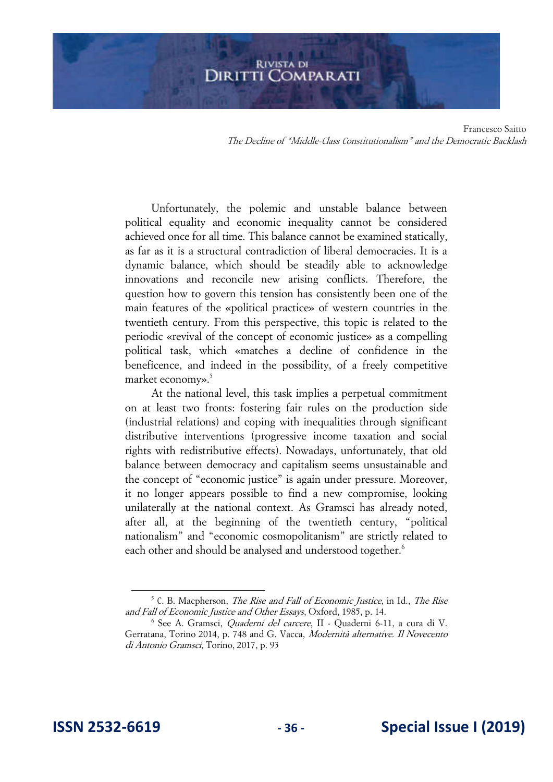# **RIVISTA DI DIRITTI COMPARATI**

Francesco Saitto The Decline of "Middle-Class Constitutionalism" and the Democratic Backlash

Unfortunately, the polemic and unstable balance between political equality and economic inequality cannot be considered achieved once for all time. This balance cannot be examined statically, as far as it is a structural contradiction of liberal democracies. It is a dynamic balance, which should be steadily able to acknowledge innovations and reconcile new arising conflicts. Therefore, the question how to govern this tension has consistently been one of the main features of the «political practice» of western countries in the twentieth century. From this perspective, this topic is related to the periodic «revival of the concept of economic justice» as a compelling political task, which «matches a decline of confidence in the beneficence, and indeed in the possibility, of a freely competitive market economy».<sup>5</sup>

At the national level, this task implies a perpetual commitment on at least two fronts: fostering fair rules on the production side (industrial relations) and coping with inequalities through significant distributive interventions (progressive income taxation and social rights with redistributive effects). Nowadays, unfortunately, that old balance between democracy and capitalism seems unsustainable and the concept of "economic justice" is again under pressure. Moreover, it no longer appears possible to find a new compromise, looking unilaterally at the national context. As Gramsci has already noted, after all, at the beginning of the twentieth century, "political nationalism" and "economic cosmopolitanism" are strictly related to each other and should be analysed and understood together.<sup>6</sup>

 $5$  C. B. Macpherson, *The Rise and Fall of Economic Justice*, in Id., *The Rise* and Fall of Economic Justice and Other Essays, Oxford, 1985, p. 14.

<sup>&</sup>lt;sup>6</sup> See A. Gramsci, *Quaderni del carcere*, II - Quaderni 6-11, a cura di V. Gerratana, Torino 2014, p. 748 and G. Vacca, Modernità alternative. Il Novecento di Antonio Gramsci, Torino, 2017, p. 93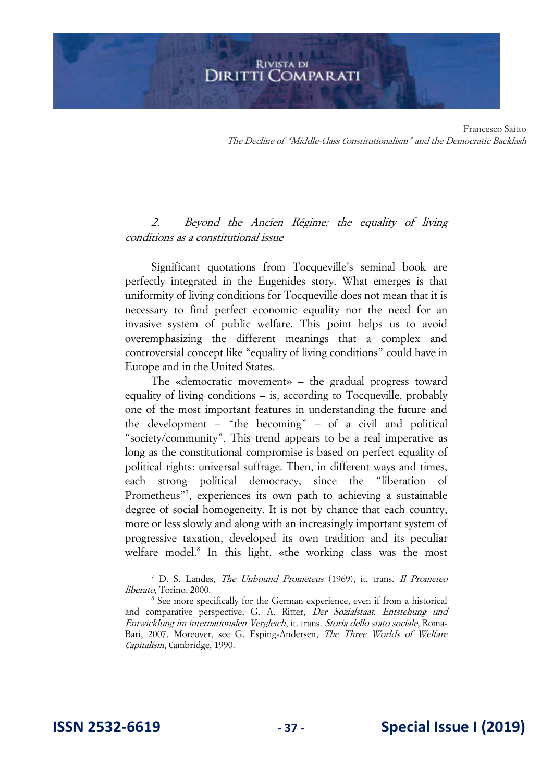# 2. Beyond the Ancien Régime: the equality of living conditions as a constitutional issue

Significant quotations from Tocqueville's seminal book are perfectly integrated in the Eugenides story. What emerges is that uniformity of living conditions for Tocqueville does not mean that it is necessary to find perfect economic equality nor the need for an invasive system of public welfare. This point helps us to avoid overemphasizing the different meanings that a complex and controversial concept like "equality of living conditions" could have in Europe and in the United States.

The «democratic movement» – the gradual progress toward equality of living conditions – is, according to Tocqueville, probably one of the most important features in understanding the future and the development – "the becoming" – of a civil and political "society/community". This trend appears to be a real imperative as long as the constitutional compromise is based on perfect equality of political rights: universal suffrage. Then, in different ways and times, each strong political democracy, since the "liberation of Prometheus"<sup>7</sup>, experiences its own path to achieving a sustainable degree of social homogeneity. It is not by chance that each country, more or less slowly and along with an increasingly important system of progressive taxation, developed its own tradition and its peculiar welfare model.<sup>8</sup> In this light, «the working class was the most

<sup>&</sup>lt;sup>7</sup> D. S. Landes, *The Unbound Prometeus* (1969), it. trans. *Il Prometeo* liberato, Torino, 2000.

<sup>&</sup>lt;sup>8</sup> See more specifically for the German experience, even if from a historical and comparative perspective, G. A. Ritter, Der Sozialstaat. Entstehung und Entwicklung im internationalen Vergleich, it. trans. Storia dello stato sociale, Roma-Bari, 2007. Moreover, see G. Esping-Andersen, The Three Worlds of Welfare Capitalism, Cambridge, 1990.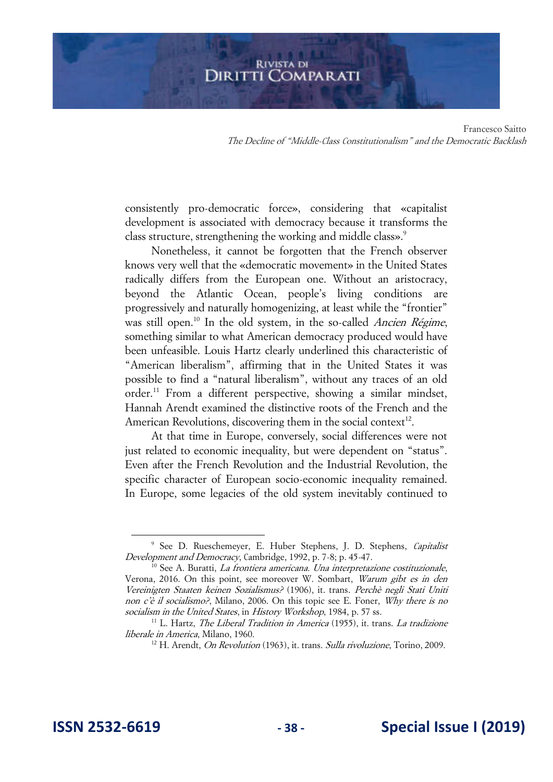Francesco Saitto The Decline of "Middle-Class Constitutionalism" and the Democratic Backlash

consistently pro-democratic force», considering that «capitalist development is associated with democracy because it transforms the class structure, strengthening the working and middle class».<sup>9</sup>

Nonetheless, it cannot be forgotten that the French observer knows very well that the «democratic movement» in the United States radically differs from the European one. Without an aristocracy, beyond the Atlantic Ocean, people's living conditions are progressively and naturally homogenizing, at least while the "frontier" was still open.<sup>10</sup> In the old system, in the so-called *Ancien Régime*, something similar to what American democracy produced would have been unfeasible. Louis Hartz clearly underlined this characteristic of "American liberalism", affirming that in the United States it was possible to find a "natural liberalism", without any traces of an old order.<sup>11</sup> From a different perspective, showing a similar mindset, Hannah Arendt examined the distinctive roots of the French and the American Revolutions, discovering them in the social context $12$ .

At that time in Europe, conversely, social differences were not just related to economic inequality, but were dependent on "status". Even after the French Revolution and the Industrial Revolution, the specific character of European socio-economic inequality remained. In Europe, some legacies of the old system inevitably continued to

<sup>&</sup>lt;sup>9</sup> See D. Rueschemeyer, E. Huber Stephens, J. D. Stephens, Capitalist Development and Democracy, Cambridge, 1992, p. 7-8; p. 45-47.

 $10$  See A. Buratti, *La frontiera americana. Una interpretazione costituzionale*, Verona, 2016. On this point, see moreover W. Sombart, Warum gibt es in den Vereinigten Staaten keinen Sozialismus? (1906), it. trans. Perchè negli Stati Uniti non c'è il socialismo?, Milano, 2006. On this topic see E. Foner, Why there is no socialism in the United States, in History Workshop, 1984, p. 57 ss.

 $11$  L. Hartz, *The Liberal Tradition in America* (1955), it. trans. *La tradizione* liberale in America, Milano, 1960.

 $12$  H. Arendt, *On Revolution* (1963), it. trans. *Sulla rivoluzione*, Torino, 2009.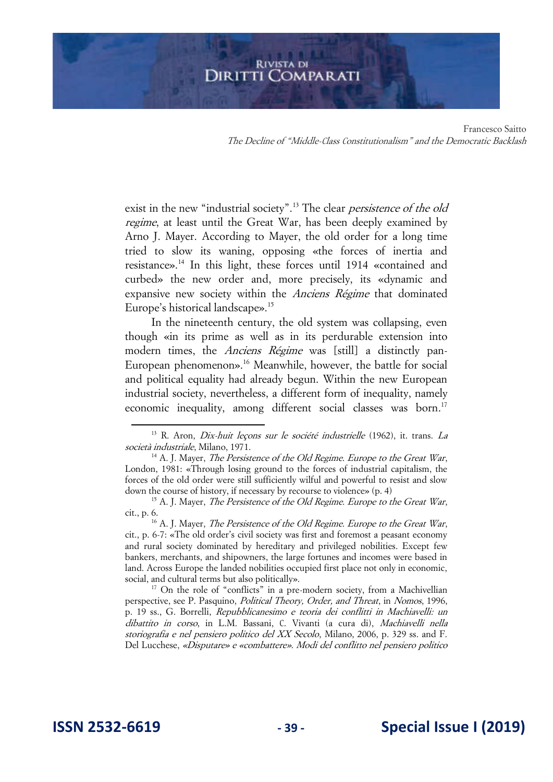Francesco Saitto The Decline of "Middle-Class Constitutionalism" and the Democratic Backlash

exist in the new "industrial society".<sup>13</sup> The clear *persistence of the old* regime, at least until the Great War, has been deeply examined by Arno J. Mayer. According to Mayer, the old order for a long time tried to slow its waning, opposing «the forces of inertia and resistance».<sup>14</sup> In this light, these forces until 1914 «contained and curbed» the new order and, more precisely, its «dynamic and expansive new society within the Anciens Régime that dominated Europe's historical landscape».<sup>15</sup>

In the nineteenth century, the old system was collapsing, even though «in its prime as well as in its perdurable extension into modern times, the *Anciens Régime* was [still] a distinctly pan-European phenomenon».<sup>16</sup> Meanwhile, however, the battle for social and political equality had already begun. Within the new European industrial society, nevertheless, a different form of inequality, namely economic inequality, among different social classes was born.<sup>17</sup>

<sup>&</sup>lt;sup>13</sup> R. Aron, *Dix-huit lecons sur le société industrielle* (1962), it. trans. *La* società industriale, Milano, 1971.

 $14$  A. J. Mayer, *The Persistence of the Old Regime. Europe to the Great War*, London, 1981: «Through losing ground to the forces of industrial capitalism, the forces of the old order were still sufficiently wilful and powerful to resist and slow down the course of history, if necessary by recourse to violence» (p. 4)

 $15$  A. J. Mayer, *The Persistence of the Old Regime. Europe to the Great War*, cit., p. 6.

 $16$  A. J. Mayer, *The Persistence of the Old Regime. Europe to the Great War*, cit., p. 6-7: «The old order's civil society was first and foremost a peasant economy and rural society dominated by hereditary and privileged nobilities. Except few bankers, merchants, and shipowners, the large fortunes and incomes were based in land. Across Europe the landed nobilities occupied first place not only in economic, social, and cultural terms but also politically».

<sup>&</sup>lt;sup>17</sup> On the role of "conflicts" in a pre-modern society, from a Machivellian perspective, see P. Pasquino, Political Theory, Order, and Threat, in Nomos, 1996, p. 19 ss., G. Borrelli, Repubblicanesimo e teoria dei conflitti in Machiavelli: un dibattito in corso, in L.M. Bassani, C. Vivanti (a cura di), Machiavelli nella storiografia e nel pensiero politico del XX Secolo, Milano, 2006, p. 329 ss. and F. Del Lucchese, «Disputare» e «combattere». Modi del conflitto nel pensiero politico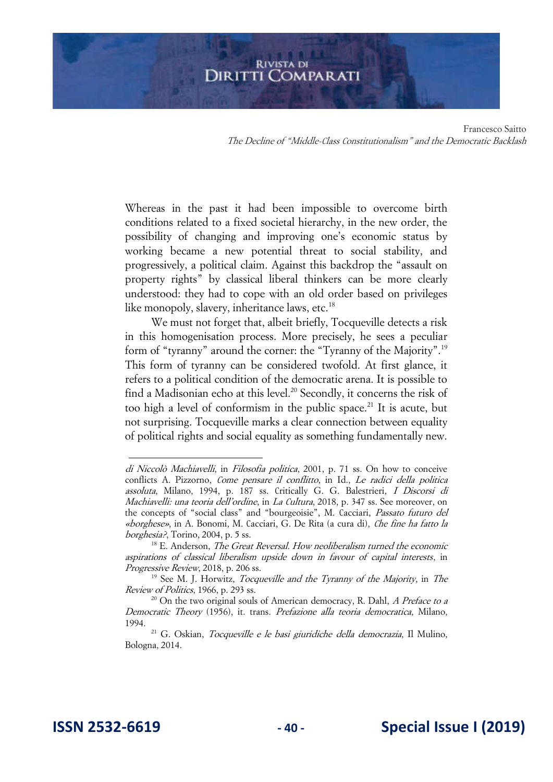# **RIVISTA DI DIRITTI COMPARATI**

Francesco Saitto The Decline of "Middle-Class Constitutionalism" and the Democratic Backlash

Whereas in the past it had been impossible to overcome birth conditions related to a fixed societal hierarchy, in the new order, the possibility of changing and improving one's economic status by working became a new potential threat to social stability, and progressively, a political claim. Against this backdrop the "assault on property rights" by classical liberal thinkers can be more clearly understood: they had to cope with an old order based on privileges like monopoly, slavery, inheritance laws, etc. $^{18}$ 

We must not forget that, albeit briefly, Tocqueville detects a risk in this homogenisation process. More precisely, he sees a peculiar form of "tyranny" around the corner: the "Tyranny of the Majority".<sup>19</sup> This form of tyranny can be considered twofold. At first glance, it refers to a political condition of the democratic arena. It is possible to find a Madisonian echo at this level.<sup>20</sup> Secondly, it concerns the risk of too high a level of conformism in the public space.<sup>21</sup> It is acute, but not surprising. Tocqueville marks a clear connection between equality of political rights and social equality as something fundamentally new.

di Niccolò Machiavelli, in Filosofia politica, 2001, p. 71 ss. On how to conceive conflicts A. Pizzorno, Come pensare il conflitto, in Id., Le radici della politica assoluta, Milano, 1994, p. 187 ss. Critically G. G. Balestrieri, I Discorsi di Machiavelli: una teoria dell'ordine, in La Cultura, 2018, p. 347 ss. See moreover, on the concepts of "social class" and "bourgeoisie", M. Cacciari, Passato futuro del «borghese», in A. Bonomi, M. Cacciari, G. De Rita (a cura di), Che fine ha fatto la borghesia?, Torino, 2004, p. 5 ss.

 $18$  E. Anderson, *The Great Reversal. How neoliberalism turned the economic* aspirations of classical liberalism upside down in favour of capital interests, in Progressive Review, 2018, p. 206 ss.

 $19$  See M. J. Horwitz, *Tocqueville and the Tyranny of the Majority*, in *The* Review of Politics, 1966, p. 293 ss.

 $^{20}$  On the two original souls of American democracy, R. Dahl, A Preface to a Democratic Theory (1956), it. trans. Prefazione alla teoria democratica, Milano, 1994.

<sup>&</sup>lt;sup>21</sup> G. Oskian, Tocqueville e le basi giuridiche della democrazia, Il Mulino, Bologna, 2014.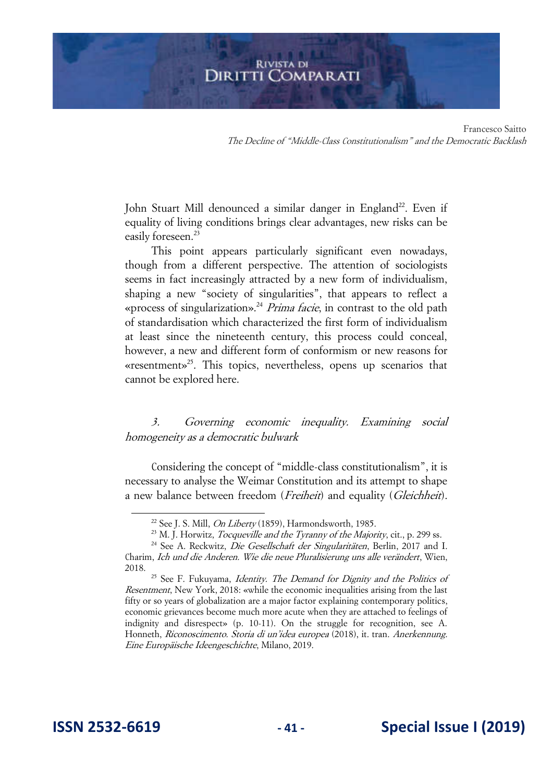John Stuart Mill denounced a similar danger in England<sup>22</sup>. Even if equality of living conditions brings clear advantages, new risks can be easily foreseen.<sup>23</sup>

This point appears particularly significant even nowadays, though from a different perspective. The attention of sociologists seems in fact increasingly attracted by a new form of individualism, shaping a new "society of singularities", that appears to reflect a «process of singularization».<sup>24</sup> Prima facie, in contrast to the old path of standardisation which characterized the first form of individualism at least since the nineteenth century, this process could conceal, however, a new and different form of conformism or new reasons for «resentment»<sup>25</sup>. This topics, nevertheless, opens up scenarios that cannot be explored here.

3. Governing economic inequality. Examining social homogeneity as a democratic bulwark

Considering the concept of "middle-class constitutionalism", it is necessary to analyse the Weimar Constitution and its attempt to shape a new balance between freedom (*Freiheit*) and equality (*Gleichheit*).

<sup>&</sup>lt;sup>22</sup> See J. S. Mill, *On Liberty* (1859), Harmondsworth, 1985.

 $^{23}$  M. I. Horwitz, *Tocqueville and the Tyranny of the Majority*, cit., p. 299 ss.

<sup>&</sup>lt;sup>24</sup> See A. Reckwitz, *Die Gesellschaft der Singularitäten*, Berlin, 2017 and I. Charim, Ich und die Anderen. Wie die neue Pluralisierung uns alle verändert, Wien, 2018.

<sup>&</sup>lt;sup>25</sup> See F. Fukuvama, *Identity. The Demand for Dignity and the Politics of* Resentment, New York, 2018: «while the economic inequalities arising from the last fifty or so years of globalization are a major factor explaining contemporary politics, economic grievances become much more acute when they are attached to feelings of indignity and disrespect» (p. 10-11). On the struggle for recognition, see A. Honneth, Riconoscimento. Storia di un'idea europea (2018), it. tran. Anerkennung. Eine Europäische Ideengeschichte, Milano, 2019.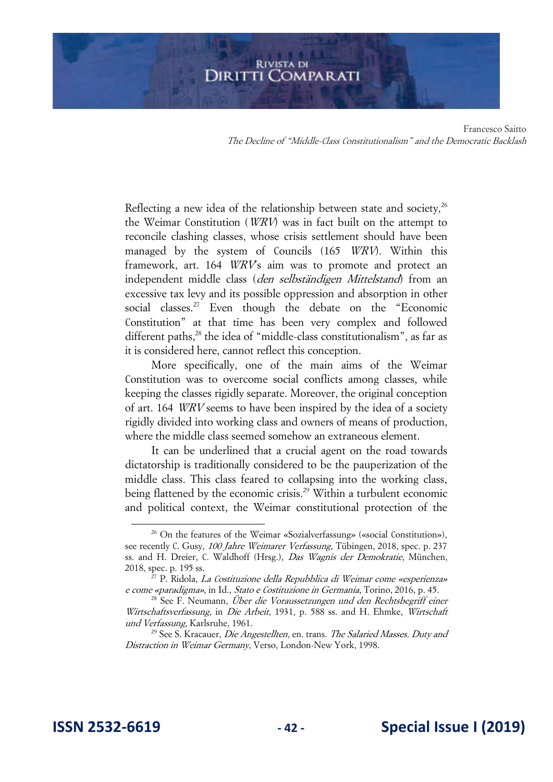Francesco Saitto The Decline of "Middle-Class Constitutionalism" and the Democratic Backlash

Reflecting a new idea of the relationship between state and society, $^{26}$ the Weimar Constitution (WRV) was in fact built on the attempt to reconcile clashing classes, whose crisis settlement should have been managed by the system of Councils (165 WRV). Within this framework, art. 164 *WRV*'s aim was to promote and protect an independent middle class (den selbständigen Mittelstand) from an excessive tax levy and its possible oppression and absorption in other social classes.<sup>27</sup> Even though the debate on the "Economic Constitution" at that time has been very complex and followed different paths,<sup>28</sup> the idea of "middle-class constitutionalism", as far as it is considered here, cannot reflect this conception.

More specifically, one of the main aims of the Weimar Constitution was to overcome social conflicts among classes, while keeping the classes rigidly separate. Moreover, the original conception of art. 164 WRV seems to have been inspired by the idea of a society rigidly divided into working class and owners of means of production, where the middle class seemed somehow an extraneous element.

It can be underlined that a crucial agent on the road towards dictatorship is traditionally considered to be the pauperization of the middle class. This class feared to collapsing into the working class, being flattened by the economic crisis.<sup>29</sup> Within a turbulent economic and political context, the Weimar constitutional protection of the

<sup>26</sup> On the features of the Weimar «Sozialverfassung» («social Constitution»), see recently C. Gusy, 100 Jahre Weimarer Verfassung, Tübingen, 2018, spec. p. 237 ss. and H. Dreier, C. Waldhoff (Hrsg.), Das Wagnis der Demokratie, München, 2018, spec. p. 195 ss.

 $^{27}$  P. Ridola, *La Costituzione della Repubblica di Weimar come «esperienza»* e come «paradigma», in Id., Stato e Costituzione in Germania, Torino, 2016, p. 45.

<sup>&</sup>lt;sup>28</sup> See F. Neumann, Über die Voraussetzungen und den Rechtsbegriff einer Wirtschaftsverfassung, in Die Arbeit, 1931, p. 588 ss. and H. Ehmke, Wirtschaft und Verfassung, Karlsruhe, 1961.

 $29$  See S. Kracauer, *Die Angestellten*, en. trans. *The Salaried Masses. Duty and* Distraction in Weimar Germany, Verso, London-New York, 1998.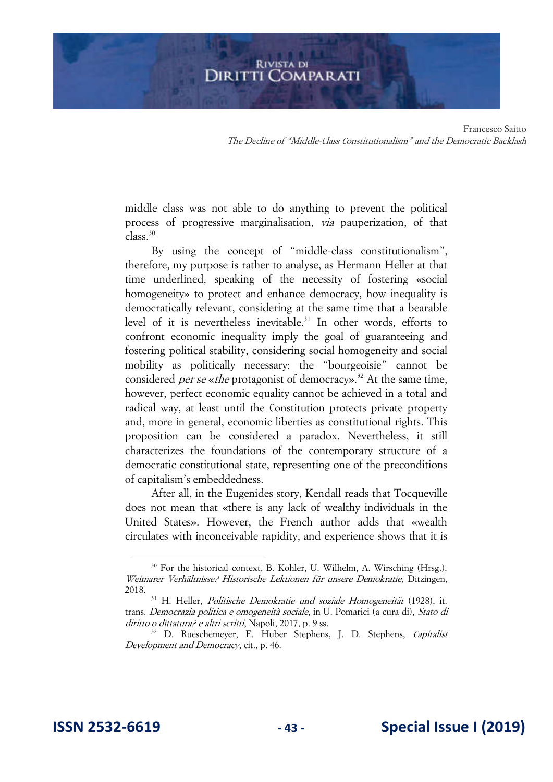middle class was not able to do anything to prevent the political process of progressive marginalisation, via pauperization, of that class.<sup>30</sup>

By using the concept of "middle-class constitutionalism", therefore, my purpose is rather to analyse, as Hermann Heller at that time underlined, speaking of the necessity of fostering «social homogeneity» to protect and enhance democracy, how inequality is democratically relevant, considering at the same time that a bearable level of it is nevertheless inevitable.<sup>31</sup> In other words, efforts to confront economic inequality imply the goal of guaranteeing and fostering political stability, considering social homogeneity and social mobility as politically necessary: the "bourgeoisie" cannot be considered *per se* «*the* protagonist of democracy».<sup>32</sup> At the same time, however, perfect economic equality cannot be achieved in a total and radical way, at least until the Constitution protects private property and, more in general, economic liberties as constitutional rights. This proposition can be considered a paradox. Nevertheless, it still characterizes the foundations of the contemporary structure of a democratic constitutional state, representing one of the preconditions of capitalism's embeddedness.

After all, in the Eugenides story, Kendall reads that Tocqueville does not mean that «there is any lack of wealthy individuals in the United States». However, the French author adds that «wealth circulates with inconceivable rapidity, and experience shows that it is

<sup>&</sup>lt;sup>30</sup> For the historical context, B. Kohler, U. Wilhelm, A. Wirsching (Hrsg.), Weimarer Verhältnisse? Historische Lektionen für unsere Demokratie, Ditzingen, 2018.

<sup>&</sup>lt;sup>31</sup> H. Heller, *Politische Demokratie und soziale Homogeneität* (1928), it. trans. Democrazia politica e omogeneità sociale, in U. Pomarici (a cura di), Stato di diritto o dittatura? e altri scritti, Napoli, 2017, p. 9 ss.

<sup>&</sup>lt;sup>32</sup> D. Rueschemeyer, E. Huber Stephens, J. D. Stephens, *Capitalist* Development and Democracy, cit., p. 46.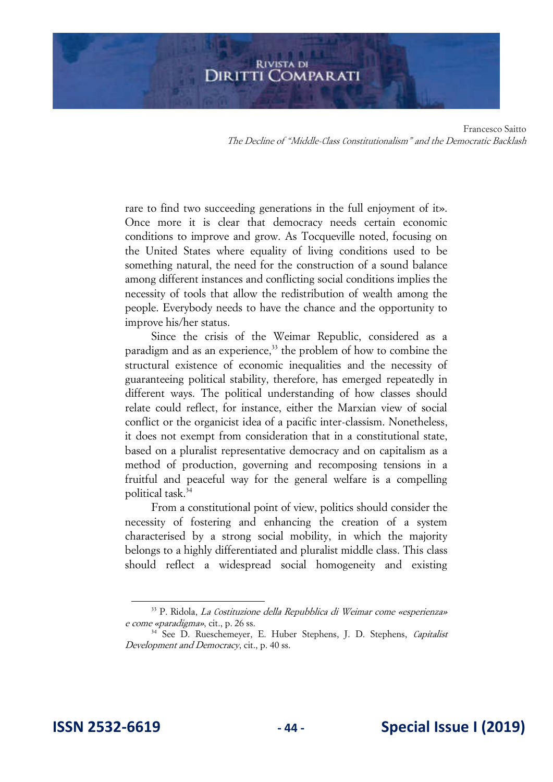# **RIVISTA DI DIRITTI COMPARATI**

Francesco Saitto The Decline of "Middle-Class Constitutionalism" and the Democratic Backlash

rare to find two succeeding generations in the full enjoyment of it». Once more it is clear that democracy needs certain economic conditions to improve and grow. As Tocqueville noted, focusing on the United States where equality of living conditions used to be something natural, the need for the construction of a sound balance among different instances and conflicting social conditions implies the necessity of tools that allow the redistribution of wealth among the people. Everybody needs to have the chance and the opportunity to improve his/her status.

Since the crisis of the Weimar Republic, considered as a paradigm and as an experience, $33$  the problem of how to combine the structural existence of economic inequalities and the necessity of guaranteeing political stability, therefore, has emerged repeatedly in different ways. The political understanding of how classes should relate could reflect, for instance, either the Marxian view of social conflict or the organicist idea of a pacific inter-classism. Nonetheless, it does not exempt from consideration that in a constitutional state, based on a pluralist representative democracy and on capitalism as a method of production, governing and recomposing tensions in a fruitful and peaceful way for the general welfare is a compelling political task.<sup>34</sup>

From a constitutional point of view, politics should consider the necessity of fostering and enhancing the creation of a system characterised by a strong social mobility, in which the majority belongs to a highly differentiated and pluralist middle class. This class should reflect a widespread social homogeneity and existing

<sup>33</sup> P. Ridola, La Costituzione della Repubblica di Weimar come «esperienza» e come «paradigma», cit., p. 26 ss.

<sup>&</sup>lt;sup>34</sup> See D. Rueschemeyer, E. Huber Stephens, J. D. Stephens, *Capitalist* Development and Democracy, cit., p. 40 ss.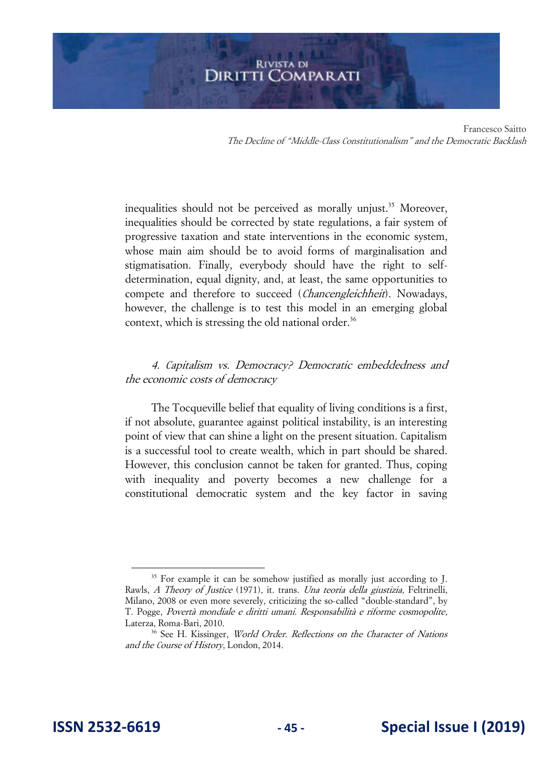inequalities should not be perceived as morally unjust.<sup>35</sup> Moreover, inequalities should be corrected by state regulations, a fair system of progressive taxation and state interventions in the economic system, whose main aim should be to avoid forms of marginalisation and stigmatisation. Finally, everybody should have the right to selfdetermination, equal dignity, and, at least, the same opportunities to compete and therefore to succeed (Chancengleichheit). Nowadays, however, the challenge is to test this model in an emerging global context, which is stressing the old national order.<sup>36</sup>

# 4. Capitalism vs. Democracy? Democratic embeddedness and the economic costs of democracy

The Tocqueville belief that equality of living conditions is a first, if not absolute, guarantee against political instability, is an interesting point of view that can shine a light on the present situation. Capitalism is a successful tool to create wealth, which in part should be shared. However, this conclusion cannot be taken for granted. Thus, coping with inequality and poverty becomes a new challenge for a constitutional democratic system and the key factor in saving

<sup>&</sup>lt;sup>35</sup> For example it can be somehow justified as morally just according to J. Rawls, A Theory of Justice (1971), it. trans. Una teoria della giustizia, Feltrinelli, Milano, 2008 or even more severely, criticizing the so-called "double-standard", by T. Pogge, Povertà mondiale e diritti umani. Responsabilità e riforme cosmopolite, Laterza, Roma-Bari, 2010.

<sup>&</sup>lt;sup>36</sup> See H. Kissinger, *World Order. Reflections on the Character of Nations* and the Course of History, London, 2014.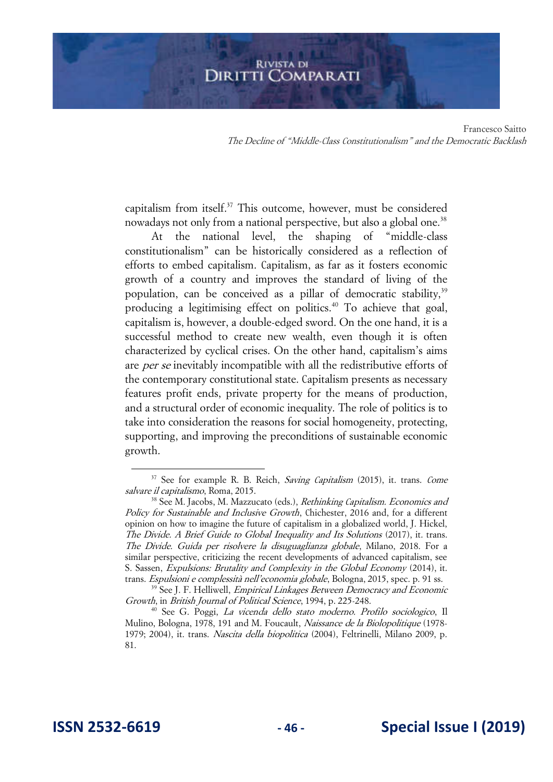Francesco Saitto The Decline of "Middle-Class Constitutionalism" and the Democratic Backlash

capitalism from itself.<sup>37</sup> This outcome, however, must be considered nowadays not only from a national perspective, but also a global one.<sup>38</sup>

At the national level, the shaping of "middle-class constitutionalism" can be historically considered as a reflection of efforts to embed capitalism. Capitalism, as far as it fosters economic growth of a country and improves the standard of living of the population, can be conceived as a pillar of democratic stability,<sup>39</sup> producing a legitimising effect on politics.<sup>40</sup> To achieve that goal, capitalism is, however, a double-edged sword. On the one hand, it is a successful method to create new wealth, even though it is often characterized by cyclical crises. On the other hand, capitalism's aims are *per se* inevitably incompatible with all the redistributive efforts of the contemporary constitutional state. Capitalism presents as necessary features profit ends, private property for the means of production, and a structural order of economic inequality. The role of politics is to take into consideration the reasons for social homogeneity, protecting, supporting, and improving the preconditions of sustainable economic growth.

 $37$  See for example R. B. Reich, *Saving Capitalism* (2015), it. trans. *Come* salvare il capitalismo, Roma, 2015.

<sup>&</sup>lt;sup>38</sup> See M. Jacobs, M. Mazzucato (eds.), *Rethinking Capitalism. Economics and* Policy for Sustainable and Inclusive Growth, Chichester, 2016 and, for a different opinion on how to imagine the future of capitalism in a globalized world, J. Hickel, The Divide. A Brief Guide to Global Inequality and Its Solutions (2017), it. trans. The Divide. Guida per risolvere la disuguaglianza globale, Milano, 2018. For a similar perspective, criticizing the recent developments of advanced capitalism, see S. Sassen, Expulsions: Brutality and Complexity in the Global Economy (2014), it. trans. Espulsioni e complessità nell'economia globale, Bologna, 2015, spec. p. 91 ss.

<sup>&</sup>lt;sup>39</sup> See J. F. Helliwell, *Empirical Linkages Between Democracy and Economic* Growth, in British Journal of Political Science, 1994, p. 225-248.

<sup>&</sup>lt;sup>40</sup> See G. Poggi, *La vicenda dello stato moderno. Profilo sociologico*, Il Mulino, Bologna, 1978, 191 and M. Foucault, *Naissance de la Biolopolitique* (1978-1979; 2004), it. trans. Nascita della biopolitica (2004), Feltrinelli, Milano 2009, p. 81.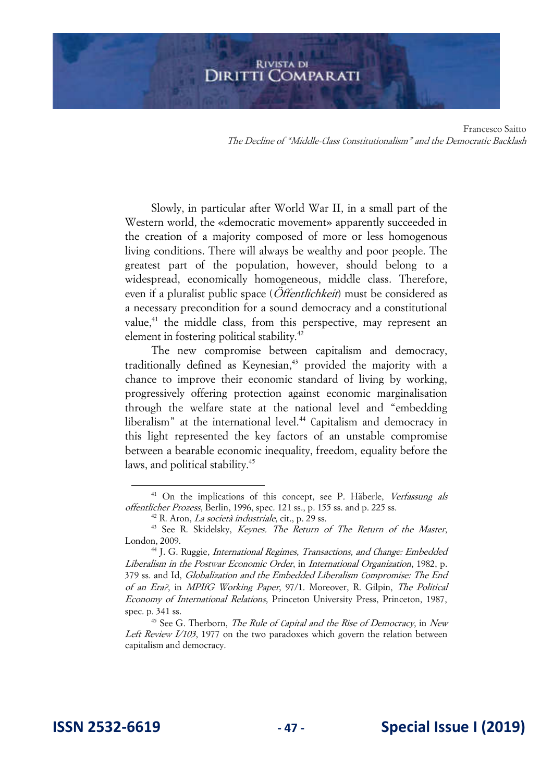Francesco Saitto The Decline of "Middle-Class Constitutionalism" and the Democratic Backlash

Slowly, in particular after World War II, in a small part of the Western world, the «democratic movement» apparently succeeded in the creation of a majority composed of more or less homogenous living conditions. There will always be wealthy and poor people. The greatest part of the population, however, should belong to a widespread, economically homogeneous, middle class. Therefore, even if a pluralist public space (*Öffentlichkeit*) must be considered as a necessary precondition for a sound democracy and a constitutional value,<sup>41</sup> the middle class, from this perspective, may represent an element in fostering political stability.<sup>42</sup>

The new compromise between capitalism and democracy, traditionally defined as Keynesian,<sup>43</sup> provided the majority with a chance to improve their economic standard of living by working, progressively offering protection against economic marginalisation through the welfare state at the national level and "embedding liberalism" at the international level.<sup>44</sup> Capitalism and democracy in this light represented the key factors of an unstable compromise between a bearable economic inequality, freedom, equality before the laws, and political stability.<sup>45</sup>

<sup>&</sup>lt;sup>41</sup> On the implications of this concept, see P. Häberle, Verfassung als offentlicher Prozess, Berlin, 1996, spec. 121 ss., p. 155 ss. and p. 225 ss.

 $42$  R. Aron, *La società industriale*, cit., p. 29 ss.

<sup>&</sup>lt;sup>43</sup> See R. Skidelsky, *Keynes. The Return of The Return of the Master*, London, 2009.

<sup>&</sup>lt;sup>44</sup> J. G. Ruggie, *International Regimes*, *Transactions*, and Change: Embedded Liberalism in the Postwar Economic Order, in International Organization, 1982, p. 379 ss. and Id, Globalization and the Embedded Liberalism Compromise: The End of an Era?, in MPIfG Working Paper, 97/1. Moreover, R. Gilpin, The Political Economy of International Relations, Princeton University Press, Princeton, 1987, spec. p. 341 ss.

 $45$  See G. Therborn, *The Rule of Capital and the Rise of Democracy*, in New Left Review I/103, 1977 on the two paradoxes which govern the relation between capitalism and democracy.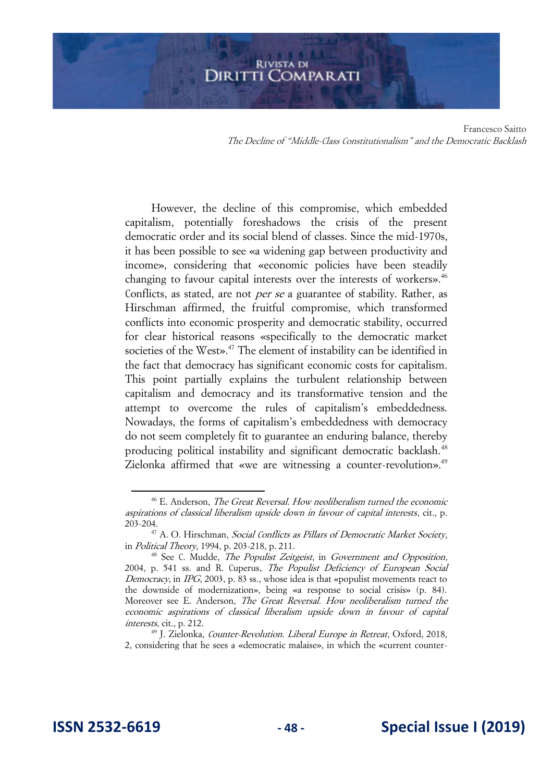Francesco Saitto The Decline of "Middle-Class Constitutionalism" and the Democratic Backlash

However, the decline of this compromise, which embedded capitalism, potentially foreshadows the crisis of the present democratic order and its social blend of classes. Since the mid-1970s, it has been possible to see «a widening gap between productivity and income», considering that «economic policies have been steadily changing to favour capital interests over the interests of workers».<sup>46</sup> Conflicts, as stated, are not *per se* a guarantee of stability. Rather, as Hirschman affirmed, the fruitful compromise, which transformed conflicts into economic prosperity and democratic stability, occurred for clear historical reasons «specifically to the democratic market societies of the West».<sup>47</sup> The element of instability can be identified in the fact that democracy has significant economic costs for capitalism. This point partially explains the turbulent relationship between capitalism and democracy and its transformative tension and the attempt to overcome the rules of capitalism's embeddedness. Nowadays, the forms of capitalism's embeddedness with democracy do not seem completely fit to guarantee an enduring balance, thereby producing political instability and significant democratic backlash.<sup>48</sup> Zielonka affirmed that «we are witnessing a counter-revolution».<sup>49</sup>

<sup>&</sup>lt;sup>46</sup> E. Anderson, *The Great Reversal. How neoliberalism turned the economic* aspirations of classical liberalism upside down in favour of capital interests, cit., p. 203-204.

<sup>&</sup>lt;sup>47</sup> A. O. Hirschman, *Social Conflicts as Pillars of Democratic Market Society*, in Political Theory, 1994, p. 203-218, p. 211.

<sup>&</sup>lt;sup>48</sup> See C. Mudde, *The Populist Zeitgeist*, in *Government and Opposition*, 2004, p. 541 ss. and R. Cuperus, The Populist Deficiency of European Social Democracy, in IPG, 2003, p. 83 ss., whose idea is that «populist movements react to the downside of modernization», being «a response to social crisis» (p. 84). Moreover see E. Anderson, The Great Reversal. How neoliberalism turned the economic aspirations of classical liberalism upside down in favour of capital interests, cit., p. 212.

<sup>49</sup> J. Zielonka, Counter-Revolution. Liberal Europe in Retreat, Oxford, 2018, 2, considering that he sees a «democratic malaise», in which the «current counter-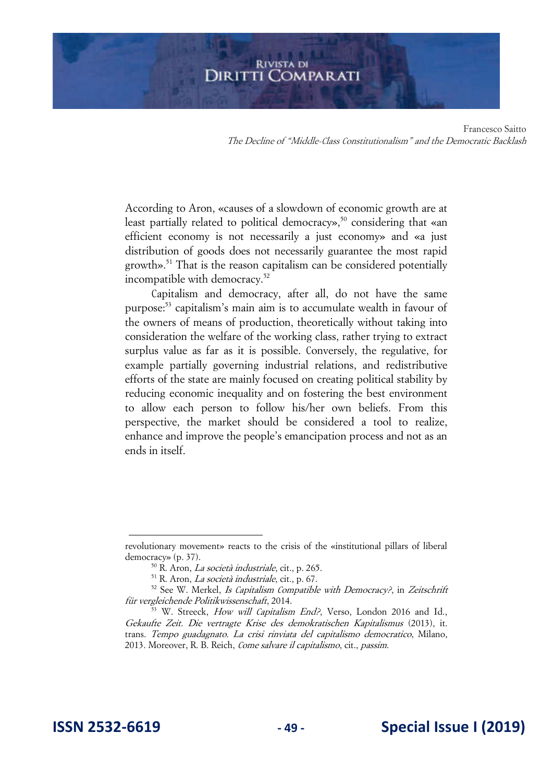Francesco Saitto The Decline of "Middle-Class Constitutionalism" and the Democratic Backlash

According to Aron, «causes of a slowdown of economic growth are at least partially related to political democracy»,<sup>50</sup> considering that «an efficient economy is not necessarily a just economy» and «a just distribution of goods does not necessarily guarantee the most rapid growth».<sup>51</sup> That is the reason capitalism can be considered potentially incompatible with democracy.<sup>52</sup>

Capitalism and democracy, after all, do not have the same purpose:<sup>53</sup> capitalism's main aim is to accumulate wealth in favour of the owners of means of production, theoretically without taking into consideration the welfare of the working class, rather trying to extract surplus value as far as it is possible. Conversely, the regulative, for example partially governing industrial relations, and redistributive efforts of the state are mainly focused on creating political stability by reducing economic inequality and on fostering the best environment to allow each person to follow his/her own beliefs. From this perspective, the market should be considered a tool to realize, enhance and improve the people's emancipation process and not as an ends in itself.

revolutionary movement» reacts to the crisis of the «institutional pillars of liberal democracy» (p. 37).

<sup>50</sup> R. Aron, La società industriale, cit., p. 265.

 $51$  R. Aron, *La società industriale*, cit., p. 67.

 $52$  See W. Merkel, Is Capitalism Compatible with Democracy?, in Zeitschrift für vergleichende Politikwissenschaft, 2014.

 $\frac{53}{10}$  W. Streeck, *How will Capitalism End?*, Verso, London 2016 and Id., Gekaufte Zeit. Die vertragte Krise des demokratischen Kapitalismus (2013), it. trans. Tempo guadagnato. La crisi rinviata del capitalismo democratico, Milano, 2013. Moreover, R. B. Reich, Come salvare il capitalismo, cit., passim.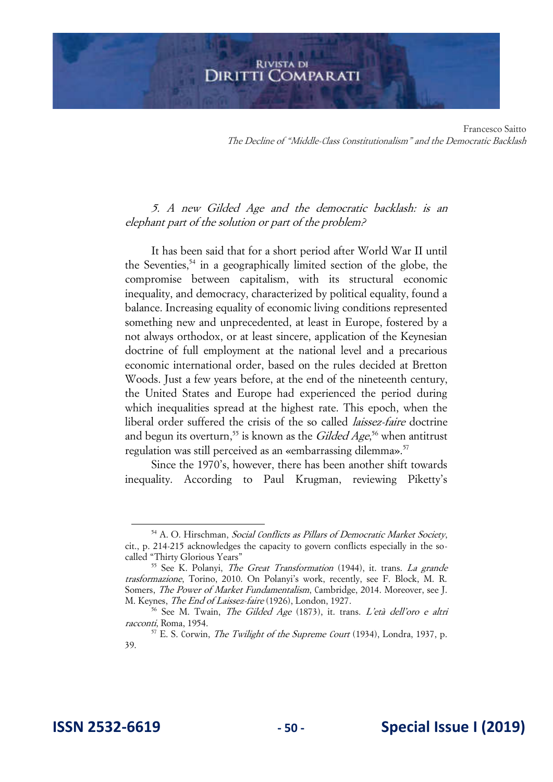Francesco Saitto The Decline of "Middle-Class Constitutionalism" and the Democratic Backlash

# 5. A new Gilded Age and the democratic backlash: is an elephant part of the solution or part of the problem?

It has been said that for a short period after World War II until the Seventies, $54$  in a geographically limited section of the globe, the compromise between capitalism, with its structural economic inequality, and democracy, characterized by political equality, found a balance. Increasing equality of economic living conditions represented something new and unprecedented, at least in Europe, fostered by a not always orthodox, or at least sincere, application of the Keynesian doctrine of full employment at the national level and a precarious economic international order, based on the rules decided at Bretton Woods. Just a few years before, at the end of the nineteenth century, the United States and Europe had experienced the period during which inequalities spread at the highest rate. This epoch, when the liberal order suffered the crisis of the so called laissez-faire doctrine and begun its overturn,<sup>55</sup> is known as the *Gilded Age*,<sup>56</sup> when antitrust regulation was still perceived as an «embarrassing dilemma».<sup>57</sup>

Since the 1970's, however, there has been another shift towards inequality. According to Paul Krugman, reviewing Piketty's

<sup>54</sup> A. O. Hirschman, Social Conflicts as Pillars of Democratic Market Society, cit., p. 214-215 acknowledges the capacity to govern conflicts especially in the socalled "Thirty Glorious Years"

<sup>&</sup>lt;sup>55</sup> See K. Polanyi, *The Great Transformation* (1944), it. trans. *La grande* trasformazione, Torino, 2010. On Polanyi's work, recently, see F. Block, M. R. Somers, The Power of Market Fundamentalism, Cambridge, 2014. Moreover, see J. M. Keynes, The End of Laissez-faire (1926), London, 1927.

<sup>&</sup>lt;sup>56</sup> See M. Twain, *The Gilded Age* (1873), it. trans. *L'età dell'oro e altri* racconti, Roma, 1954.

 $57$  E. S. Corwin, *The Twilight of the Supreme Court* (1934), Londra, 1937, p. 39.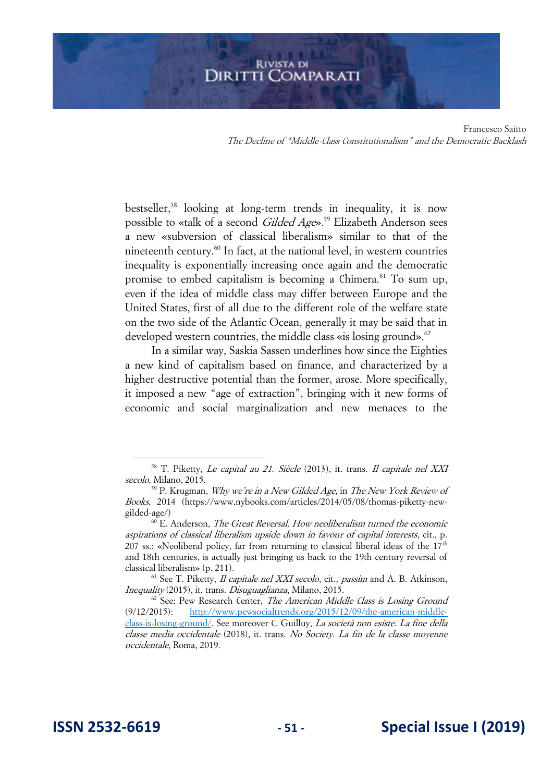bestseller,<sup>58</sup> looking at long-term trends in inequality, it is now possible to «talk of a second Gilded Age».<sup>59</sup> Elizabeth Anderson sees a new «subversion of classical liberalism» similar to that of the nineteenth century.<sup>60</sup> In fact, at the national level, in western countries inequality is exponentially increasing once again and the democratic promise to embed capitalism is becoming a Chimera.<sup>61</sup> To sum up, even if the idea of middle class may differ between Europe and the United States, first of all due to the different role of the welfare state on the two side of the Atlantic Ocean, generally it may be said that in developed western countries, the middle class «is losing ground».<sup>62</sup>

In a similar way, Saskia Sassen underlines how since the Eighties a new kind of capitalism based on finance, and characterized by a higher destructive potential than the former, arose. More specifically, it imposed a new "age of extraction", bringing with it new forms of economic and social marginalization and new menaces to the

<sup>58</sup> T. Piketty, Le capital au 21. Siècle (2013), it. trans. Il capitale nel XXI secolo, Milano, 2015.

 $^{59}$  P. Krugman, *Why we're in a New Gilded Age*, in *The New York Review of* Books, 2014 (https://www.nybooks.com/articles/2014/05/08/thomas-piketty-newgilded-age/)

 $^{60}$  E. Anderson, *The Great Reversal. How neoliberalism turned the economic* aspirations of classical liberalism upside down in favour of capital interests, cit., p. 207 ss.: «Neoliberal policy, far from returning to classical liberal ideas of the  $17<sup>th</sup>$ and 18th centuries, is actually just bringing us back to the 19th century reversal of classical liberalism» (p. 211).

 $<sup>61</sup>$  See T. Piketty, *Il capitale nel XXI secolo*, cit., *passim* and A. B. Atkinson,</sup> Inequality (2015), it. trans. Disuguaglianza, Milano, 2015.

 $62$  See: Pew Research Center, *The American Middle Class is Losing Ground* (9/12/2015): [http://www.pewsocialtrends.org/2015/12/09/the-american-middle](http://www.pewsocialtrends.org/2015/12/09/the-american-middle-class-is-losing-ground/)[class-is-losing-ground/.](http://www.pewsocialtrends.org/2015/12/09/the-american-middle-class-is-losing-ground/) See moreover C. Guilluy, La società non esiste. La fine della classe media occidentale (2018), it. trans. No Society. La fin de la classe moyenne occidentale, Roma, 2019.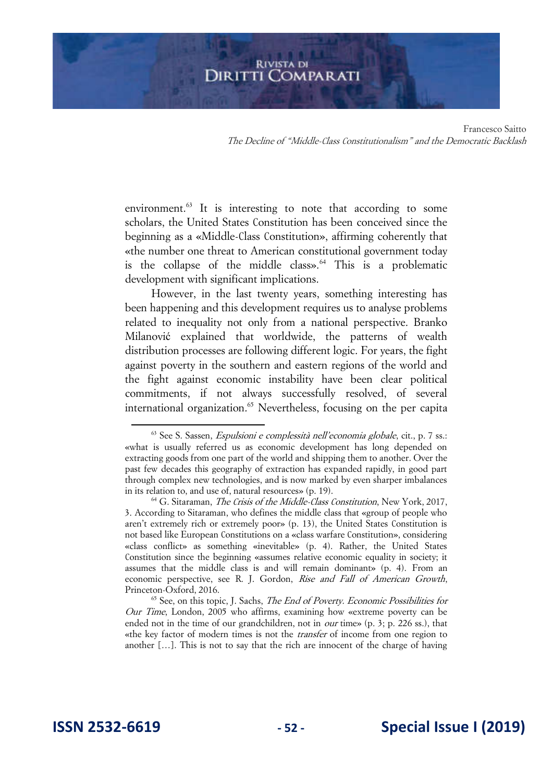environment. $63$  It is interesting to note that according to some scholars, the United States Constitution has been conceived since the beginning as a «Middle-Class Constitution», affirming coherently that «the number one threat to American constitutional government today is the collapse of the middle class». $64$  This is a problematic development with significant implications.

However, in the last twenty years, something interesting has been happening and this development requires us to analyse problems related to inequality not only from a national perspective. Branko Milanović explained that worldwide, the patterns of wealth distribution processes are following different logic. For years, the fight against poverty in the southern and eastern regions of the world and the fight against economic instability have been clear political commitments, if not always successfully resolved, of several international organization.<sup>65</sup> Nevertheless, focusing on the per capita

 $63$  See S. Sassen, *Espulsioni e complessità nell'economia globale*, cit., p. 7 ss.: «what is usually referred us as economic development has long depended on extracting goods from one part of the world and shipping them to another. Over the past few decades this geography of extraction has expanded rapidly, in good part through complex new technologies, and is now marked by even sharper imbalances in its relation to, and use of, natural resources» (p. 19).

<sup>&</sup>lt;sup>64</sup> G. Sitaraman, *The Crisis of the Middle-Class Constitution*, New York, 2017, 3. According to Sitaraman, who defines the middle class that «group of people who aren't extremely rich or extremely poor» (p. 13), the United States Constitution is not based like European Constitutions on a «class warfare Constitution», considering «class conflict» as something «inevitable» (p. 4). Rather, the United States Constitution since the beginning «assumes relative economic equality in society; it assumes that the middle class is and will remain dominant» (p. 4). From an economic perspective, see R. J. Gordon, Rise and Fall of American Growth, Princeton-Oxford, 2016.

 $65$  See, on this topic, J. Sachs, The End of Poverty. Economic Possibilities for Our Time, London, 2005 who affirms, examining how «extreme poverty can be ended not in the time of our grandchildren, not in *our* time» (p. 3; p. 226 ss.), that «the key factor of modern times is not the transfer of income from one region to another […]. This is not to say that the rich are innocent of the charge of having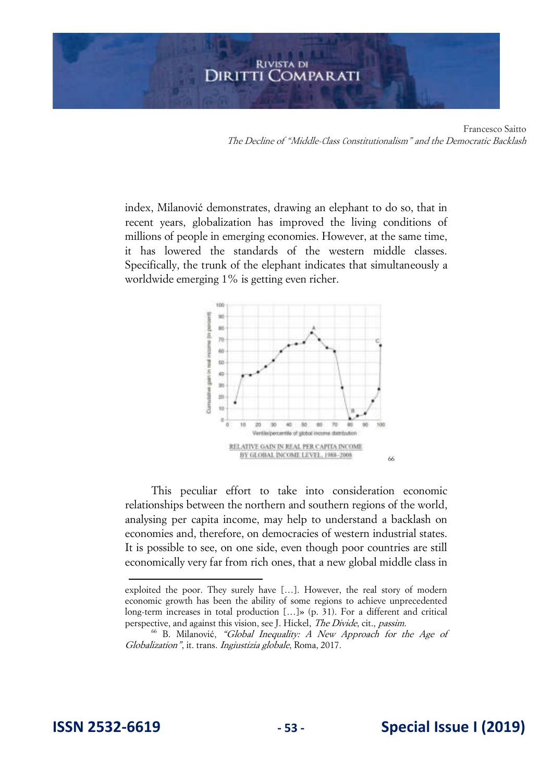index, Milanović demonstrates, drawing an elephant to do so, that in recent years, globalization has improved the living conditions of millions of people in emerging economies. However, at the same time, it has lowered the standards of the western middle classes. Specifically, the trunk of the elephant indicates that simultaneously a worldwide emerging 1% is getting even richer.



This peculiar effort to take into consideration economic relationships between the northern and southern regions of the world, analysing per capita income, may help to understand a backlash on economies and, therefore, on democracies of western industrial states. It is possible to see, on one side, even though poor countries are still economically very far from rich ones, that a new global middle class in

exploited the poor. They surely have […]. However, the real story of modern economic growth has been the ability of some regions to achieve unprecedented long-term increases in total production […]» (p. 31). For a different and critical perspective, and against this vision, see J. Hickel, *The Divide*, cit., *passim.* 

<sup>66</sup> B. Milanović, "Global Inequality: A New Approach for the Age of Globalization", it. trans. Ingiustizia globale, Roma, 2017.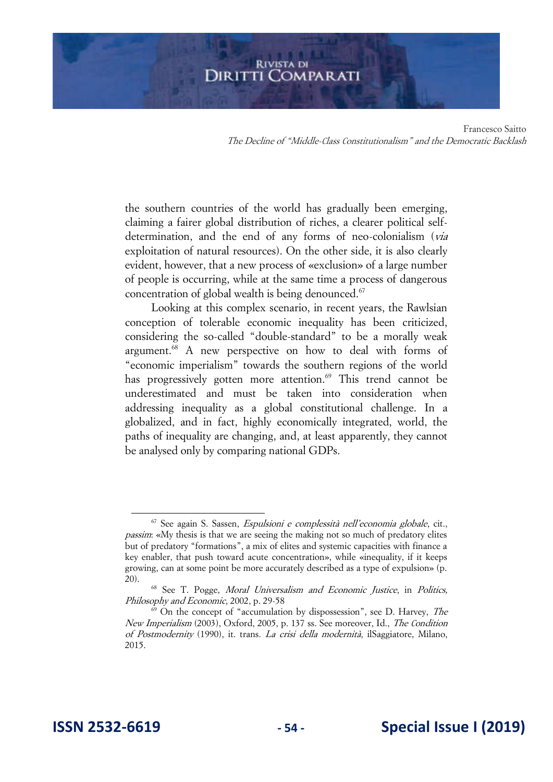the southern countries of the world has gradually been emerging, claiming a fairer global distribution of riches, a clearer political selfdetermination, and the end of any forms of neo-colonialism (via exploitation of natural resources). On the other side, it is also clearly evident, however, that a new process of «exclusion» of a large number of people is occurring, while at the same time a process of dangerous concentration of global wealth is being denounced.<sup>67</sup>

Looking at this complex scenario, in recent years, the Rawlsian conception of tolerable economic inequality has been criticized, considering the so-called "double-standard" to be a morally weak argument.<sup>68</sup> A new perspective on how to deal with forms of "economic imperialism" towards the southern regions of the world has progressively gotten more attention.<sup>69</sup> This trend cannot be underestimated and must be taken into consideration when addressing inequality as a global constitutional challenge. In a globalized, and in fact, highly economically integrated, world, the paths of inequality are changing, and, at least apparently, they cannot be analysed only by comparing national GDPs.

 $67$  See again S. Sassen, *Espulsioni e complessità nell'economia globale*, cit., passim: «My thesis is that we are seeing the making not so much of predatory elites but of predatory "formations", a mix of elites and systemic capacities with finance a key enabler, that push toward acute concentration», while «inequality, if it keeps growing, can at some point be more accurately described as a type of expulsion» (p. 20).

<sup>&</sup>lt;sup>68</sup> See T. Pogge, *Moral Universalism and Economic Justice*, in *Politics*, Philosophy and Economic, 2002, p. 29-58

 $\overrightarrow{69}$  On the concept of "accumulation by dispossession", see D. Harvey, The New Imperialism (2003), Oxford, 2005, p. 137 ss. See moreover, Id., The Condition of Postmodernity (1990), it. trans. La crisi della modernità, ilSaggiatore, Milano, 2015.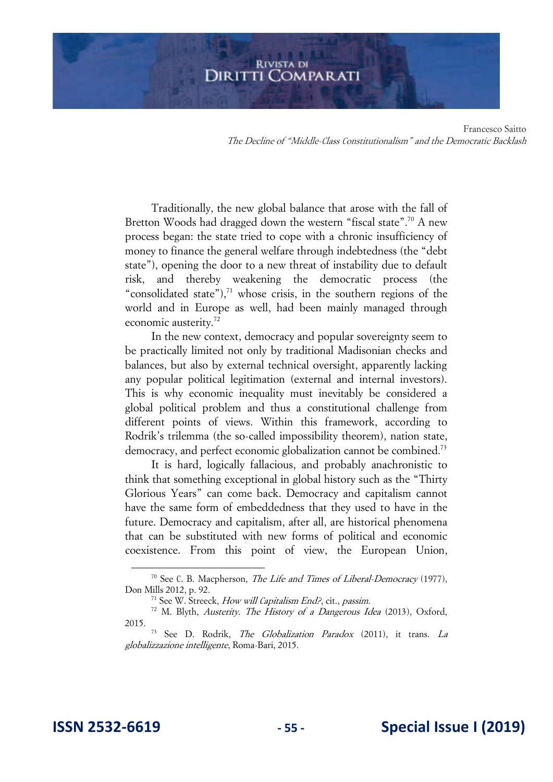Traditionally, the new global balance that arose with the fall of Bretton Woods had dragged down the western "fiscal state".<sup>70</sup> A new process began: the state tried to cope with a chronic insufficiency of money to finance the general welfare through indebtedness (the "debt state"), opening the door to a new threat of instability due to default risk, and thereby weakening the democratic process (the "consolidated state"), $^{71}$  whose crisis, in the southern regions of the world and in Europe as well, had been mainly managed through economic austerity.<sup>72</sup>

In the new context, democracy and popular sovereignty seem to be practically limited not only by traditional Madisonian checks and balances, but also by external technical oversight, apparently lacking any popular political legitimation (external and internal investors). This is why economic inequality must inevitably be considered a global political problem and thus a constitutional challenge from different points of views. Within this framework, according to Rodrik's trilemma (the so-called impossibility theorem), nation state, democracy, and perfect economic globalization cannot be combined.<sup>73</sup>

It is hard, logically fallacious, and probably anachronistic to think that something exceptional in global history such as the "Thirty Glorious Years" can come back. Democracy and capitalism cannot have the same form of embeddedness that they used to have in the future. Democracy and capitalism, after all, are historical phenomena that can be substituted with new forms of political and economic coexistence. From this point of view, the European Union,

<sup>&</sup>lt;sup>70</sup> See C. B. Macpherson, *The Life and Times of Liberal-Democracy* (1977), Don Mills 2012, p. 92.

<sup>&</sup>lt;sup>71</sup> See W. Streeck, How will Capitalism End?, cit., passim.

<sup>72</sup> M. Blyth, Austerity. The History of a Dangerous Idea (2013), Oxford, 2015.

<sup>&</sup>lt;sup>73</sup> See D. Rodrik, *The Globalization Paradox* (2011), it trans. *La* globalizzazione intelligente, Roma-Bari, 2015.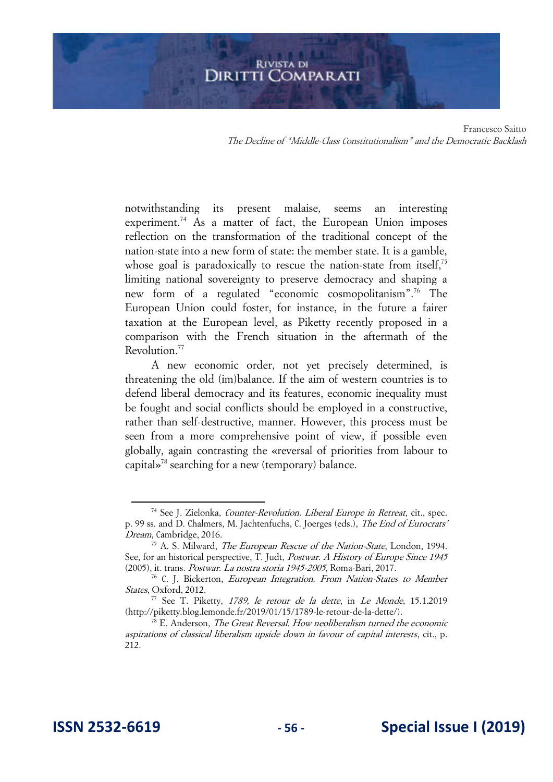notwithstanding its present malaise, seems an interesting experiment.<sup>74</sup> As a matter of fact, the European Union imposes reflection on the transformation of the traditional concept of the nation-state into a new form of state: the member state. It is a gamble, whose goal is paradoxically to rescue the nation-state from itself,<sup>75</sup> limiting national sovereignty to preserve democracy and shaping a new form of a regulated "economic cosmopolitanism".<sup>76</sup> The European Union could foster, for instance, in the future a fairer taxation at the European level, as Piketty recently proposed in a comparison with the French situation in the aftermath of the Revolution.<sup>77</sup>

A new economic order, not yet precisely determined, is threatening the old (im)balance. If the aim of western countries is to defend liberal democracy and its features, economic inequality must be fought and social conflicts should be employed in a constructive, rather than self-destructive, manner. However, this process must be seen from a more comprehensive point of view, if possible even globally, again contrasting the «reversal of priorities from labour to capital»<sup>78</sup> searching for a new (temporary) balance.

<sup>&</sup>lt;sup>74</sup> See J. Zielonka, *Counter-Revolution. Liberal Europe in Retreat*, cit., spec. p. 99 ss. and D. Chalmers, M. Jachtenfuchs, C. Joerges (eds.), The End of Eurocrats' Dream, Cambridge, 2016.

<sup>&</sup>lt;sup>75</sup> A. S. Milward, *The European Rescue of the Nation-State*, London, 1994. See, for an historical perspective, T. Judt, *Postwar. A History of Europe Since 1945* (2005), it. trans. Postwar. La nostra storia 1945-2005, Roma-Bari, 2017.

<sup>76</sup> C. J. Bickerton, European Integration. From Nation-States to Member States, Oxford, 2012.

 $77$  See T. Piketty, 1789, le retour de la dette, in Le Monde, 15.1.2019 (http://piketty.blog.lemonde.fr/2019/01/15/1789-le-retour-de-la-dette/).

 $78$  E. Anderson, *The Great Reversal. How neoliberalism turned the economic* aspirations of classical liberalism upside down in favour of capital interests, cit., p. 212.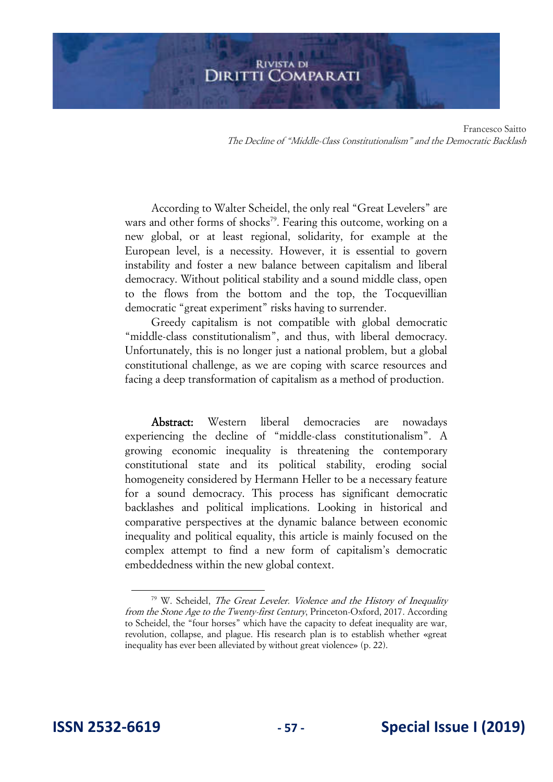Francesco Saitto The Decline of "Middle-Class Constitutionalism" and the Democratic Backlash

According to Walter Scheidel, the only real "Great Levelers" are wars and other forms of shocks<sup>79</sup>. Fearing this outcome, working on a new global, or at least regional, solidarity, for example at the European level, is a necessity. However, it is essential to govern instability and foster a new balance between capitalism and liberal democracy. Without political stability and a sound middle class, open to the flows from the bottom and the top, the Tocquevillian democratic "great experiment" risks having to surrender.

Greedy capitalism is not compatible with global democratic "middle-class constitutionalism", and thus, with liberal democracy. Unfortunately, this is no longer just a national problem, but a global constitutional challenge, as we are coping with scarce resources and facing a deep transformation of capitalism as a method of production.

Abstract: Western liberal democracies are nowadays experiencing the decline of "middle-class constitutionalism". A growing economic inequality is threatening the contemporary constitutional state and its political stability, eroding social homogeneity considered by Hermann Heller to be a necessary feature for a sound democracy. This process has significant democratic backlashes and political implications. Looking in historical and comparative perspectives at the dynamic balance between economic inequality and political equality, this article is mainly focused on the complex attempt to find a new form of capitalism's democratic embeddedness within the new global context.

<sup>&</sup>lt;sup>79</sup> W. Scheidel, *The Great Leveler. Violence and the History of Inequality* from the Stone Age to the Twenty-first Century, Princeton-Oxford, 2017. According to Scheidel, the "four horses" which have the capacity to defeat inequality are war, revolution, collapse, and plague. His research plan is to establish whether «great inequality has ever been alleviated by without great violence» (p. 22).